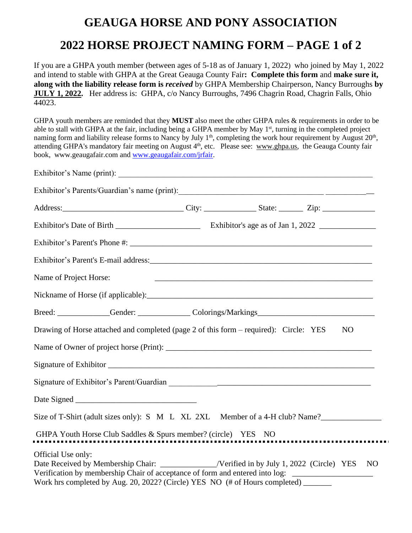## **GEAUGA HORSE AND PONY ASSOCIATION 2022 HORSE PROJECT NAMING FORM – PAGE 1 of 2**

If you are a GHPA youth member (between ages of 5-18 as of January 1, 2022) who joined by May 1, 2022 and intend to stable with GHPA at the Great Geauga County Fair**: Complete this form** and **make sure it, along with the liability release form is** *received* by GHPA Membership Chairperson, Nancy Burroughs **by JULY 1, 2022.** Her address is: GHPA, c/o Nancy Burroughs, 7496 Chagrin Road, Chagrin Falls, Ohio 44023.

GHPA youth members are reminded that they **MUST** also meet the other GHPA rules & requirements in order to be able to stall with GHPA at the fair, including being a GHPA member by May 1<sup>st</sup>, turning in the completed project naming form and liability release forms to Nancy by July  $1<sup>th</sup>$ , completing the work hour requirement by August  $20<sup>th</sup>$ , attending GHPA's mandatory fair meeting on August 4<sup>th</sup>, etc. Please see: www.ghpa.us, the Geauga County fair book, [www.geaugafair.com](http://www.geaugafair.com/) an[d www.geaugafair.com/jrfair.](http://www.geaugafair.com/jrfair)

| Exhibitor's Name (print):                                                                                                                                                                                                                                                                                        |  |  |    |  |
|------------------------------------------------------------------------------------------------------------------------------------------------------------------------------------------------------------------------------------------------------------------------------------------------------------------|--|--|----|--|
|                                                                                                                                                                                                                                                                                                                  |  |  |    |  |
|                                                                                                                                                                                                                                                                                                                  |  |  |    |  |
|                                                                                                                                                                                                                                                                                                                  |  |  |    |  |
|                                                                                                                                                                                                                                                                                                                  |  |  |    |  |
|                                                                                                                                                                                                                                                                                                                  |  |  |    |  |
| Name of Project Horse:                                                                                                                                                                                                                                                                                           |  |  |    |  |
|                                                                                                                                                                                                                                                                                                                  |  |  |    |  |
|                                                                                                                                                                                                                                                                                                                  |  |  |    |  |
| Drawing of Horse attached and completed (page 2 of this form – required): Circle: YES                                                                                                                                                                                                                            |  |  | NO |  |
|                                                                                                                                                                                                                                                                                                                  |  |  |    |  |
|                                                                                                                                                                                                                                                                                                                  |  |  |    |  |
|                                                                                                                                                                                                                                                                                                                  |  |  |    |  |
|                                                                                                                                                                                                                                                                                                                  |  |  |    |  |
| Size of T-Shirt (adult sizes only): S M L XL 2XL Member of a 4-H club? Name?                                                                                                                                                                                                                                     |  |  |    |  |
| GHPA Youth Horse Club Saddles & Spurs member? (circle) YES NO                                                                                                                                                                                                                                                    |  |  |    |  |
| Official Use only:<br>Date Received by Membership Chair: ______________/Verified in by July 1, 2022 (Circle) YES NO<br>Verification by membership Chair of acceptance of form and entered into log: ______________________<br>Work hrs completed by Aug. 20, 2022? (Circle) YES NO (# of Hours completed) ______ |  |  |    |  |